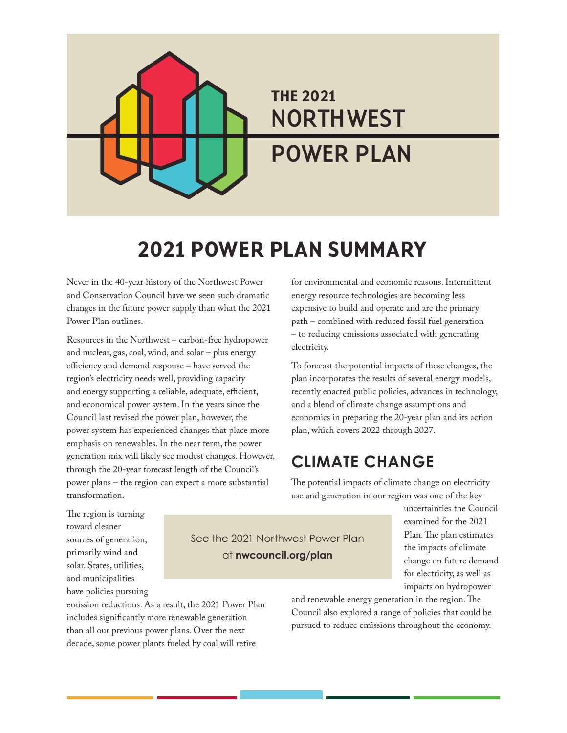# THE 2021 **NORTHWEST POWER PLAN**

### 2021 POWER PLAN SUMMARY

Never in the 40-year history of the Northwest Power and Conservation Council have we seen such dramatic changes in the future power supply than what the 2021 Power Plan outlines.

Resources in the Northwest – carbon-free hydropower and nuclear, gas, coal, wind, and solar – plus energy efficiency and demand response – have served the region's electricity needs well, providing capacity and energy supporting a reliable, adequate, efficient, and economical power system. In the years since the Council last revised the power plan, however, the power system has experienced changes that place more emphasis on renewables. In the near term, the power generation mix will likely see modest changes. However, through the 20-year forecast length of the Council's power plans – the region can expect a more substantial transformation.

for environmental and economic reasons. Intermittent energy resource technologies are becoming less expensive to build and operate and are the primary path – combined with reduced fossil fuel generation – to reducing emissions associated with generating electricity.

To forecast the potential impacts of these changes, the plan incorporates the results of several energy models, recently enacted public policies, advances in technology, and a blend of climate change assumptions and economics in preparing the 20-year plan and its action plan, which covers 2022 through 2027.

### **CLIMATE CHANGE**

The potential impacts of climate change on electricity use and generation in our region was one of the key

The region is turning toward cleaner sources of generation, primarily wind and solar. States, utilities, and municipalities have policies pursuing

See the 2021 Northwest Power Plan at **nwcouncil.org/plan**

uncertainties the Council examined for the 2021 Plan. The plan estimates the impacts of climate change on future demand for electricity, as well as impacts on hydropower

emission reductions. As a result, the 2021 Power Plan includes significantly more renewable generation than all our previous power plans. Over the next decade, some power plants fueled by coal will retire

and renewable energy generation in the region. The Council also explored a range of policies that could be pursued to reduce emissions throughout the economy.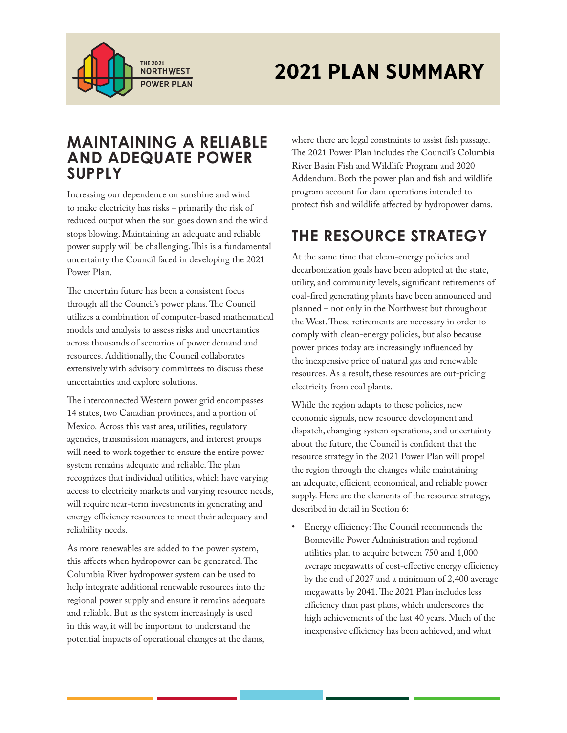

# THE 2021 **PLAN SUMMARY**

#### **MAINTAINING A RELIABLE AND ADEQUATE POWER SUPPLY**

Increasing our dependence on sunshine and wind to make electricity has risks – primarily the risk of reduced output when the sun goes down and the wind stops blowing. Maintaining an adequate and reliable power supply will be challenging. This is a fundamental uncertainty the Council faced in developing the 2021 Power Plan.

The uncertain future has been a consistent focus through all the Council's power plans. The Council utilizes a combination of computer-based mathematical models and analysis to assess risks and uncertainties across thousands of scenarios of power demand and resources. Additionally, the Council collaborates extensively with advisory committees to discuss these uncertainties and explore solutions.

The interconnected Western power grid encompasses 14 states, two Canadian provinces, and a portion of Mexico. Across this vast area, utilities, regulatory agencies, transmission managers, and interest groups will need to work together to ensure the entire power system remains adequate and reliable. The plan recognizes that individual utilities, which have varying access to electricity markets and varying resource needs, will require near-term investments in generating and energy efficiency resources to meet their adequacy and reliability needs.

As more renewables are added to the power system, this affects when hydropower can be generated. The Columbia River hydropower system can be used to help integrate additional renewable resources into the regional power supply and ensure it remains adequate and reliable. But as the system increasingly is used in this way, it will be important to understand the potential impacts of operational changes at the dams,

where there are legal constraints to assist fish passage. The 2021 Power Plan includes the Council's Columbia River Basin Fish and Wildlife Program and 2020 Addendum. Both the power plan and fish and wildlife program account for dam operations intended to protect fish and wildlife affected by hydropower dams.

### **THE RESOURCE STRATEGY**

At the same time that clean-energy policies and decarbonization goals have been adopted at the state, utility, and community levels, significant retirements of coal-fired generating plants have been announced and planned – not only in the Northwest but throughout the West. These retirements are necessary in order to comply with clean-energy policies, but also because power prices today are increasingly influenced by the inexpensive price of natural gas and renewable resources. As a result, these resources are out-pricing electricity from coal plants.

While the region adapts to these policies, new economic signals, new resource development and dispatch, changing system operations, and uncertainty about the future, the Council is confident that the resource strategy in the 2021 Power Plan will propel the region through the changes while maintaining an adequate, efficient, economical, and reliable power supply. Here are the elements of the resource strategy, described in detail in Section 6:

• Energy efficiency: The Council recommends the Bonneville Power Administration and regional utilities plan to acquire between 750 and 1,000 average megawatts of cost-effective energy efficiency by the end of 2027 and a minimum of 2,400 average megawatts by 2041. The 2021 Plan includes less efficiency than past plans, which underscores the high achievements of the last 40 years. Much of the inexpensive efficiency has been achieved, and what